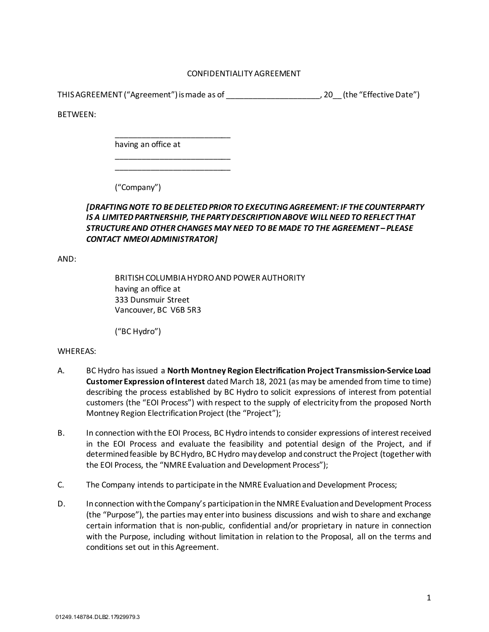## CONFIDENTIALITY AGREEMENT

THIS AGREEMENT ("Agreement") is made as of \_\_\_\_\_\_\_\_\_\_\_\_\_\_\_\_\_\_\_\_\_, 20\_\_ (the "Effective Date")

BETWEEN:

having an office at

\_\_\_\_\_\_\_\_\_\_\_\_\_\_\_\_\_\_\_\_\_\_\_\_\_\_

\_\_\_\_\_\_\_\_\_\_\_\_\_\_\_\_\_\_\_\_\_\_\_\_\_\_ \_\_\_\_\_\_\_\_\_\_\_\_\_\_\_\_\_\_\_\_\_\_\_\_\_\_

("Company")

## *[DRAFTING NOTE TO BE DELETED PRIOR TO EXECUTING AGREEMENT: IF THE COUNTERPARTY IS A LIMITED PARTNERSHIP, THE PARTY DESCRIPTION ABOVE WILL NEED TO REFLECT THAT STRUCTURE AND OTHER CHANGES MAY NEED TO BE MADE TO THE AGREEMENT – PLEASE CONTACT NMEOI ADMINISTRATOR]*

AND:

BRITISH COLUMBIA HYDRO AND POWER AUTHORITY having an office at 333 Dunsmuir Street Vancouver, BC V6B 5R3

("BC Hydro")

## WHEREAS:

- A. BC Hydro has issued a **North Montney Region Electrification Project Transmission-Service Load Customer Expression of Interest** dated March 18, 2021 (as may be amended from time to time) describing the process established by BC Hydro to solicit expressions of interest from potential customers (the "EOI Process") with respect to the supply of electricity from the proposed North Montney Region Electrification Project (the "Project");
- B. In connection with the EOI Process, BC Hydro intends to consider expressions of interest received in the EOI Process and evaluate the feasibility and potential design of the Project, and if determined feasible by BC Hydro, BC Hydro may develop and construct the Project (together with the EOI Process, the "NMRE Evaluation and Development Process");
- C. The Company intends to participate in the NMRE Evaluation and Development Process;
- D. In connection with the Company's participation in the NMRE Evaluation and Development Process (the "Purpose"), the parties may enter into business discussions and wish to share and exchange certain information that is non-public, confidential and/or proprietary in nature in connection with the Purpose, including without limitation in relation to the Proposal, all on the terms and conditions set out in this Agreement.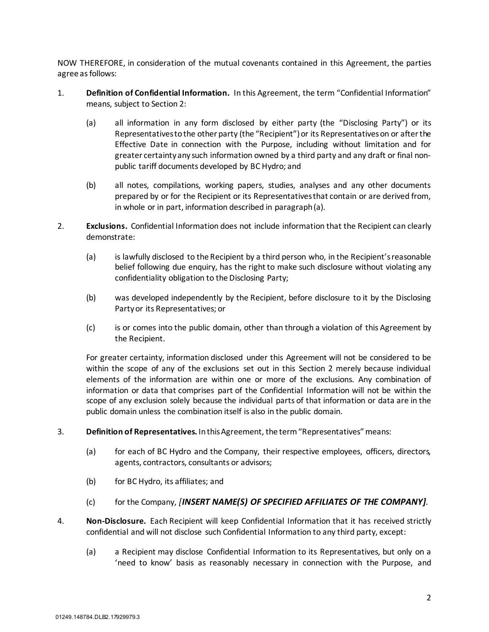NOW THEREFORE, in consideration of the mutual covenants contained in this Agreement, the parties agree as follows:

- <span id="page-1-1"></span>1. **Definition of Confidential Information.** In this Agreement, the term "Confidential Information" means, subject to Section [2:](#page-1-0)
	- (a) all information in any form disclosed by either party (the "Disclosing Party") or its Representatives to the other party (the "Recipient") or its Representatives on or after the Effective Date in connection with the Purpose, including without limitation and for greater certainty any such information owned by a third party and any draft or final nonpublic tariff documents developed by BC Hydro; and
	- (b) all notes, compilations, working papers, studies, analyses and any other documents prepared by or for the Recipient or its Representativesthat contain or are derived from, in whole or in part, information described in paragrap[h \(a\).](#page-1-1)
- <span id="page-1-3"></span><span id="page-1-0"></span>2. **Exclusions.** Confidential Information does not include information that the Recipient can clearly demonstrate:
	- (a) is lawfully disclosed to the Recipient by a third person who, in the Recipient's reasonable belief following due enquiry, has the right to make such disclosure without violating any confidentiality obligation to the Disclosing Party;
	- (b) was developed independently by the Recipient, before disclosure to it by the Disclosing Party or its Representatives; or
	- (c) is or comes into the public domain, other than through a violation of this Agreement by the Recipient.

For greater certainty, information disclosed under this Agreement will not be considered to be within the scope of any of the exclusions set out in this Section [2](#page-1-0) merely because individual elements of the information are within one or more of the exclusions. Any combination of information or data that comprises part of the Confidential Information will not be within the scope of any exclusion solely because the individual parts of that information or data are in the public domain unless the combination itself is also in the public domain.

- 3. **Definition of Representatives.** In this Agreement, the term "Representatives" means:
	- (a) for each of BC Hydro and the Company, their respective employees, officers, directors, agents, contractors, consultants or advisors;
	- (b) for BC Hydro, its affiliates; and
	- (c) for the Company, *[INSERT NAME(S) OF SPECIFIED AFFILIATES OF THE COMPANY].*
- <span id="page-1-2"></span>4. **Non-Disclosure.** Each Recipient will keep Confidential Information that it has received strictly confidential and will not disclose such Confidential Information to any third party, except:
	- (a) a Recipient may disclose Confidential Information to its Representatives, but only on a 'need to know' basis as reasonably necessary in connection with the Purpose, and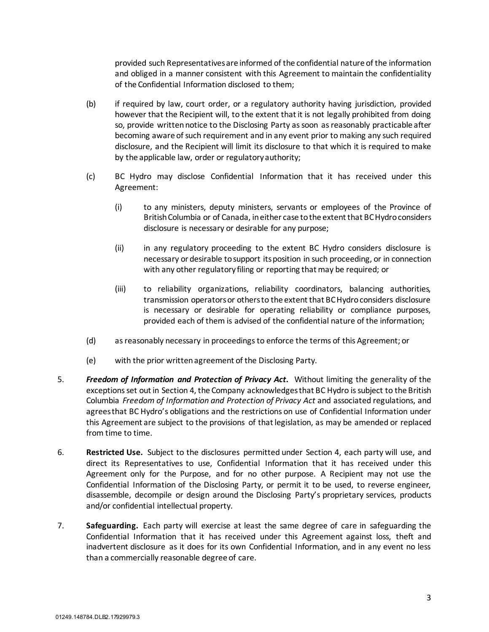provided such Representatives are informed of the confidential nature of the information and obliged in a manner consistent with this Agreement to maintain the confidentiality of the Confidential Information disclosed to them;

- (b) if required by law, court order, or a regulatory authority having jurisdiction, provided however that the Recipient will, to the extent that it is not legally prohibited from doing so, provide written notice to the Disclosing Party as soon as reasonably practicable after becoming aware of such requirement and in any event prior to making any such required disclosure, and the Recipient will limit its disclosure to that which it is required to make by the applicable law, order or regulatory authority;
- (c) BC Hydro may disclose Confidential Information that it has received under this Agreement:
	- (i) to any ministers, deputy ministers, servants or employees of the Province of British Columbia or of Canada, in either case to the extent that BC Hydro considers disclosure is necessary or desirable for any purpose;
	- (ii) in any regulatory proceeding to the extent BC Hydro considers disclosure is necessary or desirable to support its position in such proceeding, or in connection with any other regulatory filing or reporting that may be required; or
	- (iii) to reliability organizations, reliability coordinators, balancing authorities, transmission operators or othersto the extent that BC Hydro considers disclosure is necessary or desirable for operating reliability or compliance purposes, provided each of them is advised of the confidential nature of the information;
- (d) as reasonably necessary in proceedings to enforce the terms of this Agreement; or
- (e) with the prior written agreement of the Disclosing Party.
- 5. *Freedom of Information and Protection of Privacy Act***.** Without limiting the generality of the exceptions set out in Sectio[n 4,](#page-1-2) the Company acknowledges that BC Hydro is subject to the British Columbia *Freedom of Information and Protection of Privacy Act* and associated regulations, and agrees that BC Hydro's obligations and the restrictions on use of Confidential Information under this Agreement are subject to the provisions of that legislation, as may be amended or replaced from time to time.
- 6. **Restricted Use.** Subject to the disclosures permitted under Section [4,](#page-1-2) each party will use, and direct its Representatives to use, Confidential Information that it has received under this Agreement only for the Purpose, and for no other purpose. A Recipient may not use the Confidential Information of the Disclosing Party, or permit it to be used, to reverse engineer, disassemble, decompile or design around the Disclosing Party's proprietary services, products and/or confidential intellectual property.
- 7. **Safeguarding.** Each party will exercise at least the same degree of care in safeguarding the Confidential Information that it has received under this Agreement against loss, theft and inadvertent disclosure as it does for its own Confidential Information, and in any event no less than a commercially reasonable degree of care.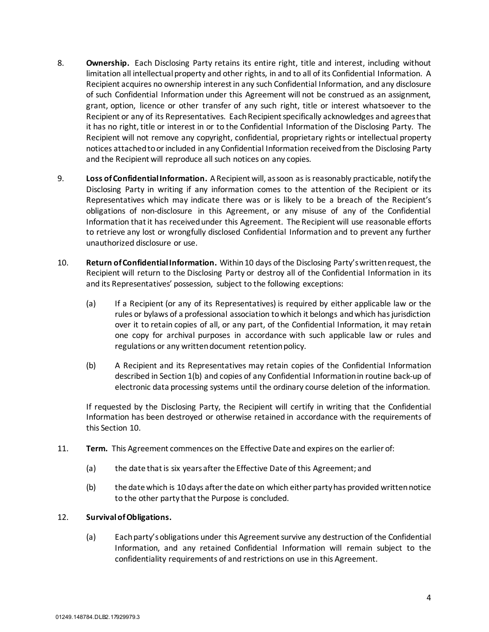- 8. **Ownership.** Each Disclosing Party retains its entire right, title and interest, including without limitation all intellectual property and other rights, in and to all of its Confidential Information. A Recipient acquires no ownership interest in any such Confidential Information, and any disclosure of such Confidential Information under this Agreement will not be construed as an assignment, grant, option, licence or other transfer of any such right, title or interest whatsoever to the Recipient or any of its Representatives. Each Recipient specifically acknowledges and agrees that it has no right, title or interest in or to the Confidential Information of the Disclosing Party. The Recipient will not remove any copyright, confidential, proprietary rights or intellectual property notices attached to or included in any Confidential Information received from the Disclosing Party and the Recipient will reproduce all such notices on any copies.
- 9. **Loss of Confidential Information.** A Recipient will, as soon as is reasonably practicable, notify the Disclosing Party in writing if any information comes to the attention of the Recipient or its Representatives which may indicate there was or is likely to be a breach of the Recipient's obligations of non-disclosure in this Agreement, or any misuse of any of the Confidential Information that it has received under this Agreement. The Recipient will use reasonable efforts to retrieve any lost or wrongfully disclosed Confidential Information and to prevent any further unauthorized disclosure or use.
- <span id="page-3-0"></span>10. **Return of Confidential Information.** Within 10 days of the Disclosing Party's written request, the Recipient will return to the Disclosing Party or destroy all of the Confidential Information in its and its Representatives' possession, subject to the following exceptions:
	- (a) If a Recipient (or any of its Representatives) is required by either applicable law or the rules or bylaws of a professional association to which it belongs and which has jurisdiction over it to retain copies of all, or any part, of the Confidential Information, it may retain one copy for archival purposes in accordance with such applicable law or rules and regulations or any written document retention policy.
	- (b) A Recipient and its Representatives may retain copies of the Confidential Information described in Sectio[n 1\(b\)](#page-1-3) and copies of any Confidential Information in routine back-up of electronic data processing systems until the ordinary course deletion of the information.

If requested by the Disclosing Party, the Recipient will certify in writing that the Confidential Information has been destroyed or otherwise retained in accordance with the requirements of this Section [10.](#page-3-0)

- 11. **Term.** This Agreement commences on the Effective Date and expires on the earlier of:
	- (a) the date that is six yearsafter the Effective Date of this Agreement; and
	- (b) the date which is 10 days after the date on which either party has provided written notice to the other party that the Purpose is concluded.

## 12. **Survival of Obligations.**

(a) Each party's obligations under this Agreement survive any destruction of the Confidential Information, and any retained Confidential Information will remain subject to the confidentiality requirements of and restrictions on use in this Agreement.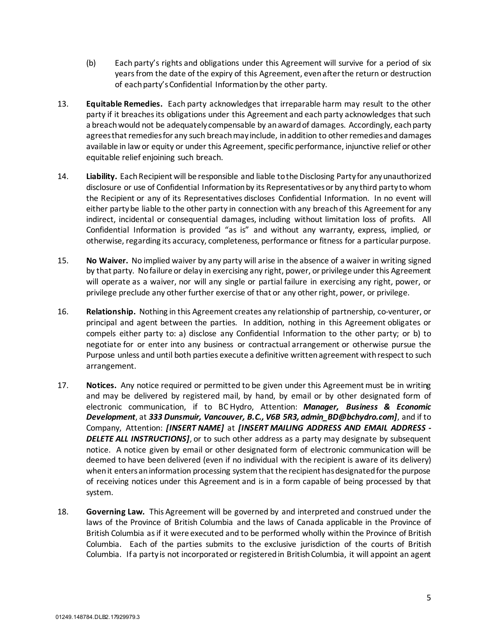- (b) Each party's rights and obligations under this Agreement will survive for a period of six years from the date of the expiry of this Agreement, even after the return or destruction of each party's Confidential Information by the other party.
- 13. **Equitable Remedies.** Each party acknowledges that irreparable harm may result to the other party if it breaches its obligations under this Agreement and each party acknowledges that such a breach would not be adequately compensable by an award of damages. Accordingly, each party agreesthat remedies for any such breach may include, in addition to other remedies and damages available in law or equity or under this Agreement, specific performance, injunctive relief or other equitable relief enjoining such breach.
- 14. **Liability.** Each Recipient will be responsible and liable to the Disclosing Party for any unauthorized disclosure or use of Confidential Information by its Representativesor by any third party to whom the Recipient or any of its Representatives discloses Confidential Information. In no event will either party be liable to the other party in connection with any breach of this Agreement for any indirect, incidental or consequential damages, including without limitation loss of profits. All Confidential Information is provided "as is" and without any warranty, express, implied, or otherwise, regarding its accuracy, completeness, performance or fitness for a particular purpose.
- 15. **No Waiver.** No implied waiver by any party will arise in the absence of a waiver in writing signed by that party. No failure or delay in exercising any right, power, or privilege under this Agreement will operate as a waiver, nor will any single or partial failure in exercising any right, power, or privilege preclude any other further exercise of that or any other right, power, or privilege.
- 16. **Relationship.** Nothing in this Agreement creates any relationship of partnership, co-venturer, or principal and agent between the parties. In addition, nothing in this Agreement obligates or compels either party to: a) disclose any Confidential Information to the other party; or b) to negotiate for or enter into any business or contractual arrangement or otherwise pursue the Purpose unless and until both parties execute a definitive written agreement with respect to such arrangement.
- 17. **Notices.** Any notice required or permitted to be given under this Agreement must be in writing and may be delivered by registered mail, by hand, by email or by other designated form of electronic communication, if to BC Hydro, Attention: *Manager, Business & Economic Development*, at *333 Dunsmuir, Vancouver, B.C., V6B 5R3, admin\_BD@bchydro.com]*, and if to Company, Attention: *[INSERT NAME]* at *[INSERT MAILING ADDRESS AND EMAIL ADDRESS -* **DELETE ALL INSTRUCTIONS]**, or to such other address as a party may designate by subsequent notice. A notice given by email or other designated form of electronic communication will be deemed to have been delivered (even if no individual with the recipient is aware of its delivery) when it enters an information processing system that the recipient has designated for the purpose of receiving notices under this Agreement and is in a form capable of being processed by that system.
- 18. **Governing Law.** This Agreement will be governed by and interpreted and construed under the laws of the Province of British Columbia and the laws of Canada applicable in the Province of British Columbia as if it were executed and to be performed wholly within the Province of British Columbia. Each of the parties submits to the exclusive jurisdiction of the courts of British Columbia. If a party is not incorporated or registered in British Columbia, it will appoint an agent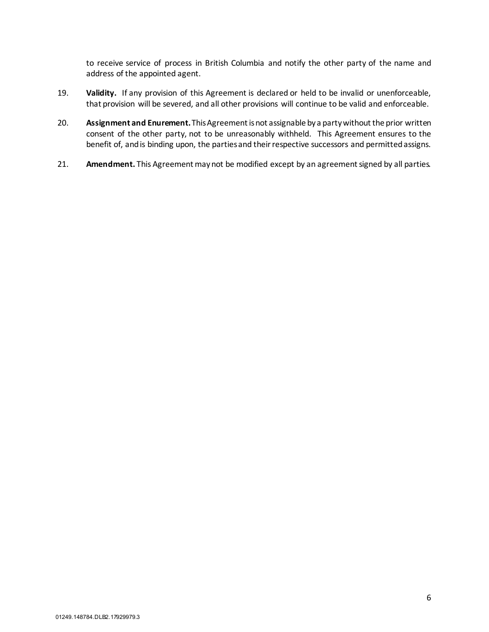to receive service of process in British Columbia and notify the other party of the name and address of the appointed agent.

- 19. **Validity.** If any provision of this Agreement is declared or held to be invalid or unenforceable, that provision will be severed, and all other provisions will continue to be valid and enforceable.
- 20. **Assignment and Enurement.**This Agreement is not assignable by a party without the prior written consent of the other party, not to be unreasonably withheld. This Agreement ensures to the benefit of, and is binding upon, the parties and their respective successors and permitted assigns.
- 21. Amendment. This Agreement may not be modified except by an agreement signed by all parties.